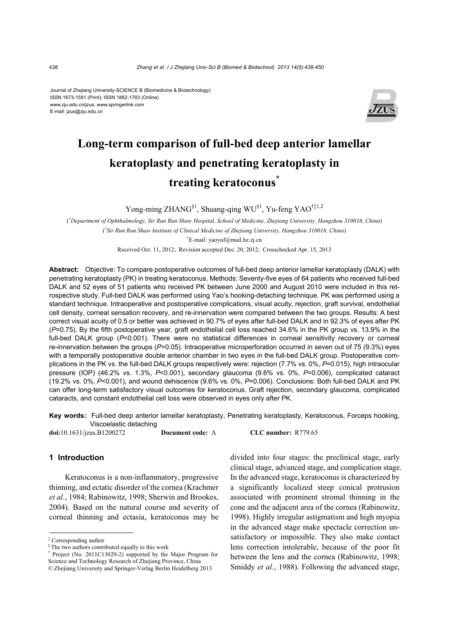#### Journal of Zhejiang University-SCIENCE B (Biomedicine & Biotechnology) ISSN 1673-1581 (Print); ISSN 1862-1783 (Online) www.zju.edu.cn/jzus; www.springerlink.com E-mail: jzus@zju.edu.cn



# **Long-term comparison of full-bed deep anterior lamellar keratoplasty and penetrating keratoplasty in treating keratoconus\***

Yong-ming ZHANG<sup>§1</sup>, Shuang-qing WU<sup>§1</sup>, Yu-feng YAO<sup>†‡1,2</sup>

( *1 Department of Ophthalmology, Sir Run Run Shaw Hospital, School of Medicine, Zhejiang University, Hangzhou 310016, China*) ( *2 Sir Run Run Shaw Institute of Clinical Medicine of Zhejiang University, Hangzhou 310016, China*) † E-mail: yaoyuf@mail.hz.zj.cn

Received Oct. 11, 2012; Revision accepted Dec. 20, 2012; Crosschecked Apr. 15, 2013

**Abstract:** Objective: To compare postoperative outcomes of full-bed deep anterior lamellar keratoplasty (DALK) with penetrating keratoplasty (PK) in treating keratoconus. Methods: Seventy-five eyes of 64 patients who received full-bed DALK and 52 eyes of 51 patients who received PK between June 2000 and August 2010 were included in this retrospective study. Full-bed DALK was performed using Yao's hooking-detaching technique. PK was performed using a standard technique. Intraoperative and postoperative complications, visual acuity, rejection, graft survival, endothelial cell density, corneal sensation recovery, and re-innervation were compared between the two groups. Results: A best correct visual acuity of 0.5 or better was achieved in 90.7% of eyes after full-bed DALK and in 92.3% of eyes after PK (*P*=0.75). By the fifth postoperative year, graft endothelial cell loss reached 34.6% in the PK group vs. 13.9% in the full-bed DALK group (*P*<0.001). There were no statistical differences in corneal sensitivity recovery or corneal re-innervation between the groups (*P*>0.05). Intraoperative microperforation occurred in seven out of 75 (9.3%) eyes with a temporally postoperative double anterior chamber in two eyes in the full-bed DALK group. Postoperative complications in the PK vs. the full-bed DALK groups respectively were: rejection (7.7% vs. 0%, *P*=0.015), high intraocular pressure (IOP) (46.2% vs. 1.3%, *P*<0.001), secondary glaucoma (9.6% vs. 0%, *P*=0.006), complicated cataract (19.2% vs. 0%, *P*<0.001), and wound dehiscence (9.6% vs. 0%, *P*=0.006). Conclusions: Both full-bed DALK and PK can offer long-term satisfactory visual outcomes for keratoconus. Graft rejection, secondary glaucoma, complicated cataracts, and constant endothelial cell loss were observed in eyes only after PK.

**Key words:** Full-bed deep anterior lamellar keratoplasty, Penetrating keratoplasty, Keratoconus, Forceps hooking, Viscoelastic detaching

**doi:**10.1631/jzus.B1200272 **Document code:** A **CLC number:** R779.65

# **1 Introduction**

Keratoconus is a non-inflammatory, progressive thinning, and ectatic disorder of the cornea (Krachmer *et al.*, 1984; Rabinowitz, 1998; Sherwin and Brookes, 2004). Based on the natural course and severity of corneal thinning and ectasia, keratoconus may be divided into four stages: the preclinical stage, early clinical stage, advanced stage, and complication stage. In the advanced stage, keratoconus is characterized by a significantly localized steep conical protrusion associated with prominent stromal thinning in the cone and the adjacent area of the cornea (Rabinowitz, 1998). Highly irregular astigmatism and high myopia in the advanced stage make spectacle correction unsatisfactory or impossible. They also make contact lens correction intolerable, because of the poor fit between the lens and the cornea (Rabinowitz, 1998; Smiddy *et al.*, 1988). Following the advanced stage,

<sup>‡</sup> Corresponding author

<sup>§</sup> The two authors contributed equally to this work

<sup>\*</sup> Project (No. 2011C13029-2) supported by the Major Program for Science and Technology Research of Zhejiang Province, China

<sup>©</sup> Zhejiang University and Springer-Verlag Berlin Heidelberg 2013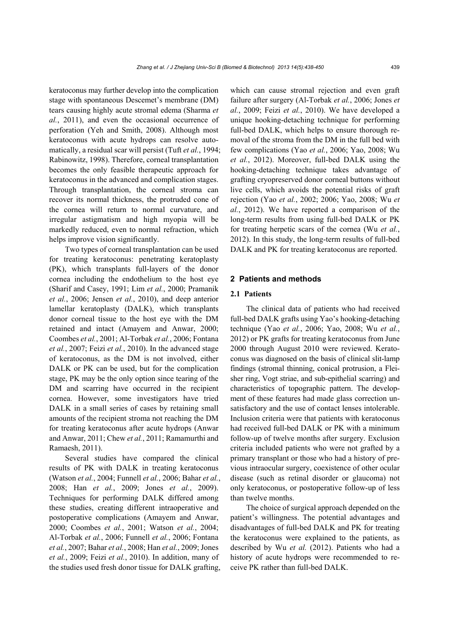keratoconus may further develop into the complication stage with spontaneous Descemet's membrane (DM) tears causing highly acute stromal edema (Sharma *et al.*, 2011), and even the occasional occurrence of perforation (Yeh and Smith, 2008). Although most keratoconus with acute hydrops can resolve automatically, a residual scar will persist (Tuft *et al.*, 1994; Rabinowitz, 1998). Therefore, corneal transplantation becomes the only feasible therapeutic approach for keratoconus in the advanced and complication stages. Through transplantation, the corneal stroma can recover its normal thickness, the protruded cone of the cornea will return to normal curvature, and irregular astigmatism and high myopia will be markedly reduced, even to normal refraction, which helps improve vision significantly.

Two types of corneal transplantation can be used for treating keratoconus: penetrating keratoplasty (PK), which transplants full-layers of the donor cornea including the endothelium to the host eye (Sharif and Casey, 1991; Lim *et al.*, 2000; Pramanik *et al.*, 2006; Jensen *et al.*, 2010), and deep anterior lamellar keratoplasty (DALK), which transplants donor corneal tissue to the host eye with the DM retained and intact (Amayem and Anwar, 2000; Coombes *et al.*, 2001; Al-Torbak *et al.*, 2006; Fontana *et al.*, 2007; Feizi *et al.*, 2010). In the advanced stage of keratoconus, as the DM is not involved, either DALK or PK can be used, but for the complication stage, PK may be the only option since tearing of the DM and scarring have occurred in the recipient cornea. However, some investigators have tried DALK in a small series of cases by retaining small amounts of the recipient stroma not reaching the DM for treating keratoconus after acute hydrops (Anwar and Anwar, 2011; Chew *et al.*, 2011; Ramamurthi and Ramaesh, 2011).

Several studies have compared the clinical results of PK with DALK in treating keratoconus (Watson *et al.*, 2004; Funnell *et al.*, 2006; Bahar *et al.*, 2008; Han *et al.*, 2009; Jones *et al.*, 2009). Techniques for performing DALK differed among these studies, creating different intraoperative and postoperative complications (Amayem and Anwar, 2000; Coombes *et al.*, 2001; Watson *et al.*, 2004; Al-Torbak *et al.*, 2006; Funnell *et al.*, 2006; Fontana *et al.*, 2007; Bahar *et al.*, 2008; Han *et al.*, 2009; Jones *et al.*, 2009; Feizi *et al.*, 2010). In addition, many of the studies used fresh donor tissue for DALK grafting,

which can cause stromal rejection and even graft failure after surgery (Al-Torbak *et al.*, 2006; Jones *et al.*, 2009; Feizi *et al.*, 2010). We have developed a unique hooking-detaching technique for performing full-bed DALK, which helps to ensure thorough removal of the stroma from the DM in the full bed with few complications (Yao *et al.*, 2006; Yao, 2008; Wu *et al.*, 2012). Moreover, full-bed DALK using the hooking-detaching technique takes advantage of grafting cryopreserved donor corneal buttons without live cells, which avoids the potential risks of graft rejection (Yao *et al.*, 2002; 2006; Yao, 2008; Wu *et al.*, 2012). We have reported a comparison of the long-term results from using full-bed DALK or PK for treating herpetic scars of the cornea (Wu *et al.*, 2012). In this study, the long-term results of full-bed DALK and PK for treating keratoconus are reported.

#### **2 Patients and methods**

## **2.1 Patients**

The clinical data of patients who had received full-bed DALK grafts using Yao's hooking-detaching technique (Yao *et al.*, 2006; Yao, 2008; Wu *et al.*, 2012) or PK grafts for treating keratoconus from June 2000 through August 2010 were reviewed. Keratoconus was diagnosed on the basis of clinical slit-lamp findings (stromal thinning, conical protrusion, a Fleisher ring, Vogt striae, and sub-epithelial scarring) and characteristics of topographic pattern. The development of these features had made glass correction unsatisfactory and the use of contact lenses intolerable. Inclusion criteria were that patients with keratoconus had received full-bed DALK or PK with a minimum follow-up of twelve months after surgery. Exclusion criteria included patients who were not grafted by a primary transplant or those who had a history of previous intraocular surgery, coexistence of other ocular disease (such as retinal disorder or glaucoma) not only keratoconus, or postoperative follow-up of less than twelve months.

The choice of surgical approach depended on the patient's willingness. The potential advantages and disadvantages of full-bed DALK and PK for treating the keratoconus were explained to the patients, as described by Wu *et al.* (2012). Patients who had a history of acute hydrops were recommended to receive PK rather than full-bed DALK.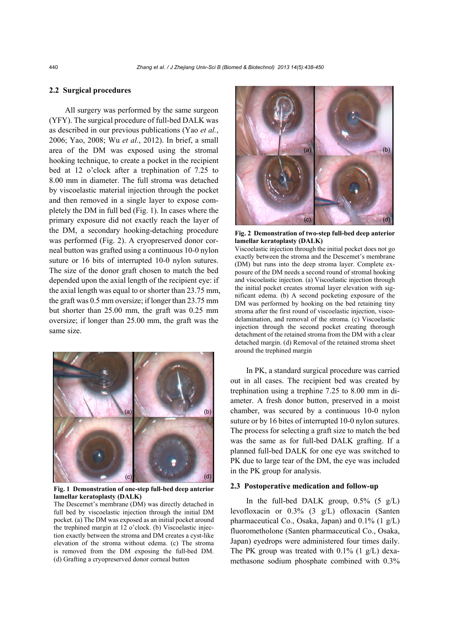# **2.2 Surgical procedures**

All surgery was performed by the same surgeon (YFY). The surgical procedure of full-bed DALK was as described in our previous publications (Yao *et al.*, 2006; Yao, 2008; Wu *et al.*, 2012). In brief, a small area of the DM was exposed using the stromal hooking technique, to create a pocket in the recipient bed at 12 o'clock after a trephination of 7.25 to 8.00 mm in diameter. The full stroma was detached by viscoelastic material injection through the pocket and then removed in a single layer to expose completely the DM in full bed (Fig. 1). In cases where the primary exposure did not exactly reach the layer of the DM, a secondary hooking-detaching procedure was performed (Fig. 2). A cryopreserved donor corneal button was grafted using a continuous 10-0 nylon suture or 16 bits of interrupted 10-0 nylon sutures. The size of the donor graft chosen to match the bed depended upon the axial length of the recipient eye: if the axial length was equal to or shorter than 23.75 mm, the graft was 0.5 mm oversize; if longer than 23.75 mm but shorter than 25.00 mm, the graft was 0.25 mm oversize; if longer than 25.00 mm, the graft was the same size.



**Fig. 1 Demonstration of one-step full-bed deep anterior lamellar keratoplasty (DALK)** 

The Descemet's membrane (DM) was directly detached in full bed by viscoelastic injection through the initial DM pocket. (a) The DM was exposed as an initial pocket around the trephined margin at 12 o'clock. (b) Viscoelastic injection exactly between the stroma and DM creates a cyst-like elevation of the stroma without edema. (c) The stroma is removed from the DM exposing the full-bed DM. (d) Grafting a cryopreserved donor corneal button



**Fig. 2 Demonstration of two-step full-bed deep anterior lamellar keratoplasty (DALK)** 

Viscoelastic injection through the initial pocket does not go exactly between the stroma and the Descemet's membrane (DM) but runs into the deep stroma layer. Complete exposure of the DM needs a second round of stromal hooking and viscoelastic injection. (a) Viscoelastic injection through the initial pocket creates stromal layer elevation with significant edema. (b) A second pocketing exposure of the DM was performed by hooking on the bed retaining tiny stroma after the first round of viscoelastic injection, viscodelamination, and removal of the stroma. (c) Viscoelastic injection through the second pocket creating thorough detachment of the retained stroma from the DM with a clear detached margin. (d) Removal of the retained stroma sheet around the trephined margin

In PK, a standard surgical procedure was carried out in all cases. The recipient bed was created by trephination using a trephine 7.25 to 8.00 mm in diameter. A fresh donor button, preserved in a moist chamber, was secured by a continuous 10-0 nylon suture or by 16 bites of interrupted 10-0 nylon sutures. The process for selecting a graft size to match the bed was the same as for full-bed DALK grafting. If a planned full-bed DALK for one eye was switched to PK due to large tear of the DM, the eye was included in the PK group for analysis.

#### **2.3 Postoperative medication and follow-up**

In the full-bed DALK group,  $0.5\%$  (5 g/L) levofloxacin or 0.3% (3 g/L) ofloxacin (Santen pharmaceutical Co., Osaka, Japan) and 0.1% (1 g/L) fluorometholone (Santen pharmaceutical Co., Osaka, Japan) eyedrops were administered four times daily. The PK group was treated with 0.1% (1 g/L) dexamethasone sodium phosphate combined with 0.3%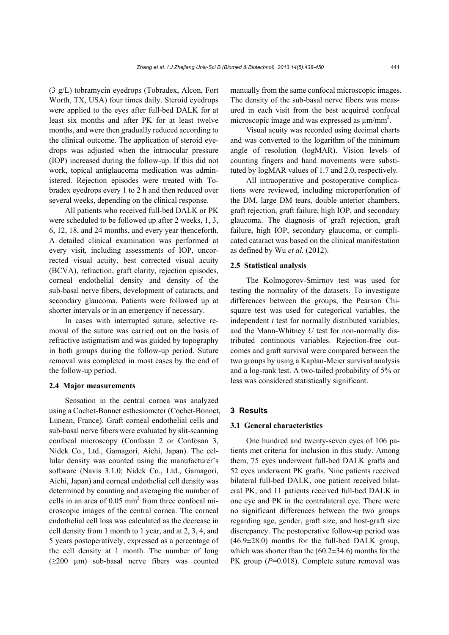(3 g/L) tobramycin eyedrops (Tobradex, Alcon, Fort Worth, TX, USA) four times daily. Steroid eyedrops were applied to the eyes after full-bed DALK for at least six months and after PK for at least twelve months, and were then gradually reduced according to the clinical outcome. The application of steroid eyedrops was adjusted when the intraocular pressure (IOP) increased during the follow-up. If this did not work, topical antiglaucoma medication was administered. Rejection episodes were treated with Tobradex eyedrops every 1 to 2 h and then reduced over several weeks, depending on the clinical response.

All patients who received full-bed DALK or PK were scheduled to be followed up after 2 weeks, 1, 3, 6, 12, 18, and 24 months, and every year thenceforth. A detailed clinical examination was performed at every visit, including assessments of IOP, uncorrected visual acuity, best corrected visual acuity (BCVA), refraction, graft clarity, rejection episodes, corneal endothelial density and density of the sub-basal nerve fibers, development of cataracts, and secondary glaucoma. Patients were followed up at shorter intervals or in an emergency if necessary.

In cases with interrupted suture, selective removal of the suture was carried out on the basis of refractive astigmatism and was guided by topography in both groups during the follow-up period. Suture removal was completed in most cases by the end of the follow-up period.

#### **2.4 Major measurements**

Sensation in the central cornea was analyzed using a Cochet-Bonnet esthesiometer (Cochet-Bonnet, Lunean, France). Graft corneal endothelial cells and sub-basal nerve fibers were evaluated by slit-scanning confocal microscopy (Confosan 2 or Confosan 3, Nidek Co., Ltd., Gamagori, Aichi, Japan). The cellular density was counted using the manufacturer's software (Navis 3.1.0; Nidek Co., Ltd., Gamagori, Aichi, Japan) and corneal endothelial cell density was determined by counting and averaging the number of cells in an area of  $0.05$  mm<sup>2</sup> from three confocal microscopic images of the central cornea. The corneal endothelial cell loss was calculated as the decrease in cell density from 1 month to 1 year, and at 2, 3, 4, and 5 years postoperatively, expressed as a percentage of the cell density at 1 month. The number of long (≥200 µm) sub-basal nerve fibers was counted

manually from the same confocal microscopic images. The density of the sub-basal nerve fibers was measured in each visit from the best acquired confocal microscopic image and was expressed as  $\mu$ m/mm<sup>2</sup>.

Visual acuity was recorded using decimal charts and was converted to the logarithm of the minimum angle of resolution (logMAR). Vision levels of counting fingers and hand movements were substituted by logMAR values of 1.7 and 2.0, respectively.

All intraoperative and postoperative complications were reviewed, including microperforation of the DM, large DM tears, double anterior chambers, graft rejection, graft failure, high IOP, and secondary glaucoma. The diagnosis of graft rejection, graft failure, high IOP, secondary glaucoma, or complicated cataract was based on the clinical manifestation as defined by Wu *et al.* (2012).

#### **2.5 Statistical analysis**

The Kolmogorov-Smirnov test was used for testing the normality of the datasets. To investigate differences between the groups, the Pearson Chisquare test was used for categorical variables, the independent *t* test for normally distributed variables, and the Mann-Whitney *U* test for non-normally distributed continuous variables. Rejection-free outcomes and graft survival were compared between the two groups by using a Kaplan-Meier survival analysis and a log-rank test. A two-tailed probability of 5% or less was considered statistically significant.

#### **3 Results**

# **3.1 General characteristics**

One hundred and twenty-seven eyes of 106 patients met criteria for inclusion in this study. Among them, 75 eyes underwent full-bed DALK grafts and 52 eyes underwent PK grafts. Nine patients received bilateral full-bed DALK, one patient received bilateral PK, and 11 patients received full-bed DALK in one eye and PK in the contralateral eye. There were no significant differences between the two groups regarding age, gender, graft size, and host-graft size discrepancy. The postoperative follow-up period was  $(46.9\pm28.0)$  months for the full-bed DALK group, which was shorter than the  $(60.2\pm34.6)$  months for the PK group ( $P=0.018$ ). Complete suture removal was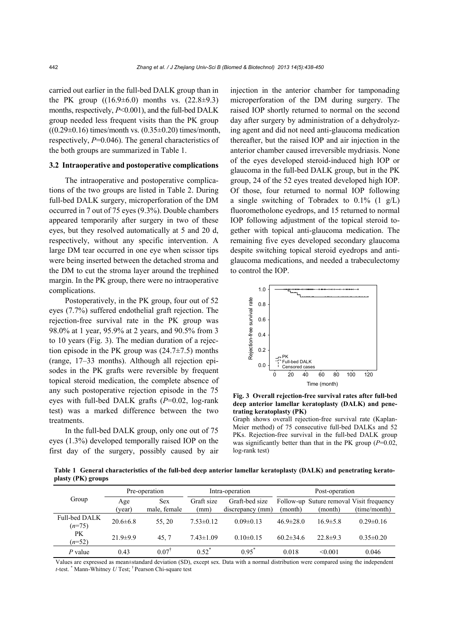carried out earlier in the full-bed DALK group than in the PK group  $((16.9 \pm 6.0)$  months vs.  $(22.8 \pm 9.3)$ months, respectively, *P*<0.001), and the full-bed DALK group needed less frequent visits than the PK group  $((0.29\pm0.16)$  times/month vs.  $(0.35\pm0.20)$  times/month, respectively, *P*=0.046). The general characteristics of the both groups are summarized in Table 1.

## **3.2 Intraoperative and postoperative complications**

The intraoperative and postoperative complications of the two groups are listed in Table 2. During full-bed DALK surgery, microperforation of the DM occurred in 7 out of 75 eyes (9.3%). Double chambers appeared temporarily after surgery in two of these eyes, but they resolved automatically at 5 and 20 d, respectively, without any specific intervention. A large DM tear occurred in one eye when scissor tips were being inserted between the detached stroma and the DM to cut the stroma layer around the trephined margin. In the PK group, there were no intraoperative complications.

Postoperatively, in the PK group, four out of 52 eyes (7.7%) suffered endothelial graft rejection. The rejection-free survival rate in the PK group was 98.0% at 1 year, 95.9% at 2 years, and 90.5% from 3 to 10 years (Fig. 3). The median duration of a rejection episode in the PK group was  $(24.7\pm7.5)$  months (range, 17–33 months). Although all rejection episodes in the PK grafts were reversible by frequent topical steroid medication, the complete absence of any such postoperative rejection episode in the 75 eyes with full-bed DALK grafts (*P*=0.02, log-rank test) was a marked difference between the two treatments.

In the full-bed DALK group, only one out of 75 eyes (1.3%) developed temporally raised IOP on the first day of the surgery, possibly caused by air injection in the anterior chamber for tamponading microperforation of the DM during surgery. The raised IOP shortly returned to normal on the second day after surgery by administration of a dehydrolyzing agent and did not need anti-glaucoma medication thereafter, but the raised IOP and air injection in the anterior chamber caused irreversible mydriasis. None of the eyes developed steroid-induced high IOP or glaucoma in the full-bed DALK group, but in the PK group, 24 of the 52 eyes treated developed high IOP. Of those, four returned to normal IOP following a single switching of Tobradex to  $0.1\%$  (1 g/L) fluorometholone eyedrops, and 15 returned to normal IOP following adjustment of the topical steroid together with topical anti-glaucoma medication. The remaining five eyes developed secondary glaucoma despite switching topical steroid eyedrops and antiglaucoma medications, and needed a trabeculectomy to control the IOP.



**Fig. 3 Overall rejection-free survival rates after full-bed deep anterior lamellar keratoplasty (DALK) and penetrating keratoplasty (PK)** 

Graph shows overall rejection-free survival rate (Kaplan-Meier method) of 75 consecutive full-bed DALKs and 52 PKs. Rejection-free survival in the full-bed DALK group was significantly better than that in the PK group (*P*=0.02, log-rank test)

**Table 1 General characteristics of the full-bed deep anterior lamellar keratoplasty (DALK) and penetrating keratoplasty (PK) groups**

|                                  | Pre-operation  |                            | Intra-operation    |                                    | Post-operation  |                                                     |                 |
|----------------------------------|----------------|----------------------------|--------------------|------------------------------------|-----------------|-----------------------------------------------------|-----------------|
| Group                            | Age<br>(year)  | <b>Sex</b><br>male, female | Graft size<br>(mm) | Graft-bed size<br>discrepancy (mm) | (month)         | Follow-up Suture removal Visit frequency<br>(month) | (time/month)    |
| <b>Full-bed DALK</b><br>$(n=75)$ | $20.6 \pm 6.8$ | 55.20                      | $7.53 \pm 0.12$    | $0.09\pm0.13$                      | $46.9 \pm 28.0$ | $16.9 \pm 5.8$                                      | $0.29 \pm 0.16$ |
| PK<br>$(n=52)$                   | $21.9 + 9.9$   | 45.7                       | $7.43 \pm 1.09$    | $0.10 \pm 0.15$                    | $60.2 \pm 34.6$ | $22.8 \pm 9.3$                                      | $0.35 \pm 0.20$ |
| $P$ value                        | 0.43           | $0.07^{\dagger}$           | 0.52               | $0.95^*$                           | 0.018           | < 0.001                                             | 0.046           |

Values are expressed as mean±standard deviation (SD), except sex. Data with a normal distribution were compared using the independent *t*-test. \* Mann-Whitney *U* Test; † Pearson Chi-square test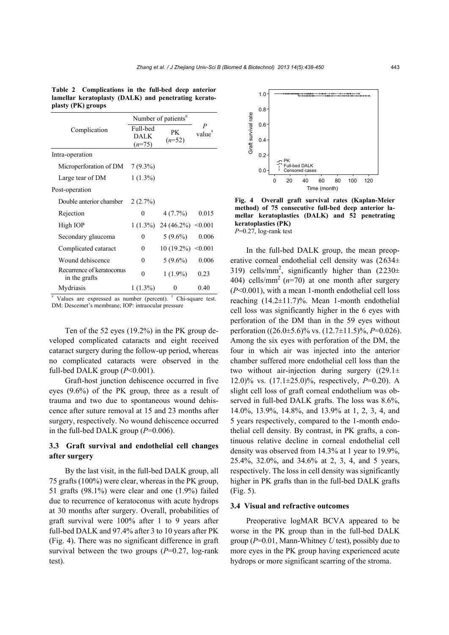|                                            | Number of patients <sup>#</sup> |                               |                         |  |
|--------------------------------------------|---------------------------------|-------------------------------|-------------------------|--|
| Complication                               | Full-bed<br>DALK<br>$(n=75)$    | PK<br>$(n=52)$                | P<br>value <sup>†</sup> |  |
| Intra-operation                            |                                 |                               |                         |  |
| Microperforation of DM                     | $7(9.3\%)$                      |                               |                         |  |
| Large tear of DM                           | $1(1.3\%)$                      |                               |                         |  |
| Post-operation                             |                                 |                               |                         |  |
| Double anterior chamber                    | 2(2.7%)                         |                               |                         |  |
| Rejection                                  | 0                               | $4(7.7\%)$                    | 0.015                   |  |
| High IOP                                   |                                 | $1(1.3\%)$ 24 (46.2%) < 0.001 |                         |  |
| Secondary glaucoma                         | 0                               | $5(9.6\%)$                    | 0.006                   |  |
| Complicated cataract                       | $\theta$                        | $10(19.2\%)$                  | < 0.001                 |  |
| Wound dehiscence                           | $\Omega$                        | $5(9.6\%)$                    | 0.006                   |  |
| Recurrence of keratoconus<br>in the grafts | 0                               | $1(1.9\%)$                    | 0.23                    |  |
| Mydriasis                                  | $1(1.3\%)$                      | 0                             | 0.40                    |  |

**Table 2 Complications in the full-bed deep anterior lamellar keratoplasty (DALK) and penetrating keratoplasty (PK) groups**

# Values are expressed as number (percent). † Chi-square test. DM: Descemet's membrane; IOP: intraocular pressure

Ten of the 52 eyes (19.2%) in the PK group developed complicated cataracts and eight received cataract surgery during the follow-up period, whereas no complicated cataracts were observed in the full-bed DALK group  $(P<0.001)$ .

Graft-host junction dehiscence occurred in five eyes (9.6%) of the PK group, three as a result of trauma and two due to spontaneous wound dehiscence after suture removal at 15 and 23 months after surgery, respectively. No wound dehiscence occurred in the full-bed DALK group  $(P=0.006)$ .

# **3.3 Graft survival and endothelial cell changes after surgery**

By the last visit, in the full-bed DALK group, all 75 grafts (100%) were clear, whereas in the PK group, 51 grafts (98.1%) were clear and one (1.9%) failed due to recurrence of keratoconus with acute hydrops at 30 months after surgery. Overall, probabilities of graft survival were 100% after 1 to 9 years after full-bed DALK and 97.4% after 3 to 10 years after PK (Fig. 4). There was no significant difference in graft survival between the two groups  $(P=0.27, \log\text{-rank})$ test).



**Fig. 4 Overall graft survival rates (Kaplan-Meier method) of 75 consecutive full-bed deep anterior lamellar keratoplasties (DALK) and 52 penetrating keratoplasties (PK)** *P*=0.27, log-rank test

In the full-bed DALK group, the mean preoperative corneal endothelial cell density was (2634± 319) cells/mm<sup>2</sup>, significantly higher than  $(2230 \pm$ 404) cells/mm<sup>2</sup> ( $n=70$ ) at one month after surgery (*P*<0.001), with a mean 1-month endothelial cell loss reaching (14.2±11.7)%. Mean 1-month endothelial cell loss was significantly higher in the 6 eyes with perforation of the DM than in the 59 eyes without perforation ((26.0±5.6)% vs. (12.7±11.5)%, *P*=0.026). Among the six eyes with perforation of the DM, the four in which air was injected into the anterior chamber suffered more endothelial cell loss than the two without air-injection during surgery  $((29.1 \pm$ 12.0)% vs. (17.1±25.0)%, respectively, *P*=0.20). A slight cell loss of graft corneal endothelium was observed in full-bed DALK grafts. The loss was 8.6%, 14.0%, 13.9%, 14.8%, and 13.9% at 1, 2, 3, 4, and 5 years respectively, compared to the 1-month endothelial cell density. By contrast, in PK grafts, a continuous relative decline in corneal endothelial cell density was observed from 14.3% at 1 year to 19.9%, 25.4%, 32.0%, and 34.6% at 2, 3, 4, and 5 years, respectively. The loss in cell density was significantly higher in PK grafts than in the full-bed DALK grafts (Fig. 5).

#### **3.4 Visual and refractive outcomes**

Preoperative logMAR BCVA appeared to be worse in the PK group than in the full-bed DALK group (*P*=0.01, Mann-Whitney *U* test), possibly due to more eyes in the PK group having experienced acute hydrops or more significant scarring of the stroma.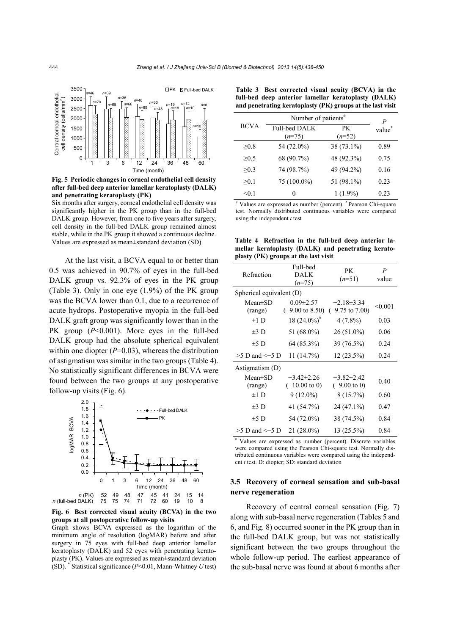

**Fig. 5 Periodic changes in corneal endothelial cell density after full-bed deep anterior lamellar keratoplasty (DALK) and penetrating keratoplasty (PK)**

Six months after surgery, corneal endothelial cell density was significantly higher in the PK group than in the full-bed DALK group. However, from one to five years after surgery, cell density in the full-bed DALK group remained almost stable, while in the PK group it showed a continuous decline. Values are expressed as mean±standard deviation (SD) **Table 4 Refraction in the full-bed deep anterior la-**

At the last visit, a BCVA equal to or better than 0.5 was achieved in 90.7% of eyes in the full-bed DALK group vs. 92.3% of eyes in the PK group (Table 3). Only in one eye (1.9%) of the PK group was the BCVA lower than 0.1, due to a recurrence of acute hydrops. Postoperative myopia in the full-bed DALK graft group was significantly lower than in the PK group (*P*<0.001). More eyes in the full-bed DALK group had the absolute spherical equivalent within one diopter  $(P=0.03)$ , whereas the distribution of astigmatism was similar in the two groups (Table 4). No statistically significant differences in BCVA were found between the two groups at any postoperative follow-up visits (Fig. 6).



**Fig. 6 Best corrected visual acuity (BCVA) in the two groups at all postoperative follow-up visits** 

Graph shows BCVA expressed as the logarithm of the minimum angle of resolution (logMAR) before and after surgery in 75 eyes with full-bed deep anterior lamellar keratoplasty (DALK) and 52 eyes with penetrating keratoplasty (PK). Values are expressed as mean±standard deviation (SD). \* Statistical significance (*P*<0.01, Mann-Whitney *U* test)

**Table 3 Best corrected visual acuity (BCVA) in the full-bed deep anterior lamellar keratoplasty (DALK) and penetrating keratoplasty (PK) groups at the last visit**

| <b>BCVA</b> | Number of patients <sup>#</sup>  | P              |       |
|-------------|----------------------------------|----------------|-------|
|             | <b>Full-bed DALK</b><br>$(n=75)$ | PК<br>$(n=52)$ | value |
| >0.8        | 54 (72.0%)                       | 38 (73.1%)     | 0.89  |
| >0.5        | 68 (90.7%)                       | 48 (92.3%)     | 0.75  |
| >0.3        | 74 (98.7%)                       | 49 (94.2%)     | 0.16  |
| >0.1        | 75 (100.0%)                      | 51 (98.1%)     | 0.23  |
| < 0.1       | 0                                | $1(1.9\%)$     | 0.23  |

# Values are expressed as number (percent). \* Pearson Chi-square test. Normally distributed continuous variables were compared using the independent *t* test

**mellar keratoplasty (DALK) and penetrating keratoplasty (PK) groups at the last visit**

| Refraction               | Full-bed<br><b>DALK</b><br>$(n=75)$           | PК<br>$(n=51)$                               | $\boldsymbol{P}$<br>value |
|--------------------------|-----------------------------------------------|----------------------------------------------|---------------------------|
| Spherical equivalent (D) |                                               |                                              |                           |
| $Mean \pm SD$<br>(range) | $0.09 \pm 2.57$<br>$(-9.00 \text{ to } 8.50)$ | $-2.18\pm3.34$<br>$(-9.75 \text{ to } 7.00)$ | < 0.001                   |
| $\pm 1$ D                | $18(24.0\%)^{\#}$                             | $4(7.8\%)$                                   | 0.03                      |
| $\pm 3$ D                | 51 (68.0%)                                    | $26(51.0\%)$                                 | 0.06                      |
| $\pm 5$ D                | 64 (85.3%)                                    | 39 (76.5%)                                   | 0.24                      |
| $>5$ D and $\leq -5$ D   | 11(14.7%)                                     | $12(23.5\%)$                                 | 0.24                      |
| Astigmatism (D)          |                                               |                                              |                           |
| $Mean \pm SD$<br>(range) | $-3.42\pm2.26$<br>$(-10.00 \text{ to } 0)$    | $-3.82\pm2.42$<br>$(-9.00 \text{ to } 0)$    | 0.40                      |
| $\pm 1$ D                | $9(12.0\%)$                                   | $8(15.7\%)$                                  | 0.60                      |
| $\pm 3$ D                | 41 (54.7%)                                    | 24 (47.1%)                                   | 0.47                      |
| $\pm$ 5 D                | 54 (72.0%)                                    | 38 (74.5%)                                   | 0.84                      |
| $>5$ D and $\leq -5$ D   | 21 (28.0%)                                    | 13 (25.5%)                                   | 0.84                      |

# Values are expressed as number (percent). Discrete variables were compared using the Pearson Chi-square test. Normally distributed continuous variables were compared using the independent *t* test. D: diopter; SD: standard deviation

# **3.5 Recovery of corneal sensation and sub-basal nerve regeneration**

Recovery of central corneal sensation (Fig. 7) along with sub-basal nerve regeneration (Tables 5 and 6, and Fig. 8) occurred sooner in the PK group than in the full-bed DALK group, but was not statistically significant between the two groups throughout the whole follow-up period. The earliest appearance of the sub-basal nerve was found at about 6 months after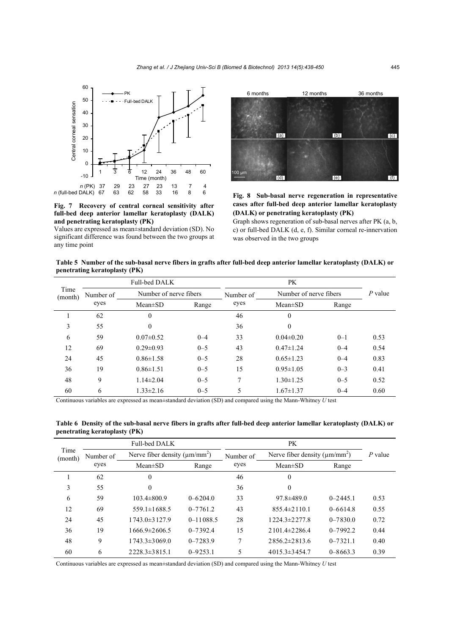

**Fig. 7 Recovery of central corneal sensitivity after full-bed deep anterior lamellar keratoplasty (DALK) and penetrating keratoplasty (PK)** 

Values are expressed as mean±standard deviation (SD). No significant difference was found between the two groups at any time point



**Fig. 8 Sub-basal nerve regeneration in representative cases after full-bed deep anterior lamellar keratoplasty (DALK) or penetrating keratoplasty (PK)**

Graph shows regeneration of sub-basal nerves after PK (a, b, c) or full-bed DALK (d, e, f). Similar corneal re-innervation was observed in the two groups

**Table 5 Number of the sub-basal nerve fibers in grafts after full-bed deep anterior lamellar keratoplasty (DALK) or penetrating keratoplasty (PK)** 

| Time<br>(month) | <b>Full-bed DALK</b> |                        |         | PК        |                        |         |         |
|-----------------|----------------------|------------------------|---------|-----------|------------------------|---------|---------|
|                 | Number of            | Number of nerve fibers |         | Number of | Number of nerve fibers |         | P value |
|                 | eyes                 | $Mean \pm SD$          | Range   | eyes      | $Mean \pm SD$          | Range   |         |
|                 | 62                   | $\Omega$               |         | 46        | $\theta$               |         |         |
| 3               | 55                   | $\theta$               |         | 36        | $\boldsymbol{0}$       |         |         |
| 6               | 59                   | $0.07 \pm 0.52$        | $0 - 4$ | 33        | $0.04 \pm 0.20$        | $0 - 1$ | 0.53    |
| 12              | 69                   | $0.29 \pm 0.93$        | $0 - 5$ | 43        | $0.47 \pm 1.24$        | $0 - 4$ | 0.54    |
| 24              | 45                   | $0.86 \pm 1.58$        | $0 - 5$ | 28        | $0.65 \pm 1.23$        | $0 - 4$ | 0.83    |
| 36              | 19                   | $0.86 \pm 1.51$        | $0 - 5$ | 15        | $0.95 \pm 1.05$        | $0 - 3$ | 0.41    |
| 48              | 9                    | $1.14 \pm 2.04$        | $0 - 5$ | 7         | $1.30 \pm 1.25$        | $0 - 5$ | 0.52    |
| 60              | 6                    | $1.33 \pm 2.16$        | $0 - 5$ | 5         | $1.67 \pm 1.37$        | $0 - 4$ | 0.60    |

Continuous variables are expressed as mean±standard deviation (SD) and compared using the Mann-Whitney *U* test

**Table 6 Density of the sub-basal nerve fibers in grafts after full-bed deep anterior lamellar keratoplasty (DALK) or penetrating keratoplasty (PK)** 

| Time<br>(month) | Full-bed DALK     |                                    |               | PK        |                                    |              |           |
|-----------------|-------------------|------------------------------------|---------------|-----------|------------------------------------|--------------|-----------|
|                 | Number of<br>eyes | Nerve fiber density $(\mu m/mm^2)$ |               | Number of | Nerve fiber density $(\mu m/mm^2)$ |              | $P$ value |
|                 |                   | Mean $\pm$ SD                      | Range         | eyes      | $Mean \pm SD$                      | Range        |           |
|                 | 62                | $\Omega$                           |               | 46        | $\Omega$                           |              |           |
| 3               | 55                | $\theta$                           |               | 36        | $\mathbf{0}$                       |              |           |
| 6               | 59                | $103.4 \pm 800.9$                  | $0 - 6204.0$  | 33        | $97.8 \pm 489.0$                   | $0 - 2445.1$ | 0.53      |
| 12              | 69                | $559.1 \pm 1688.5$                 | $0 - 7761.2$  | 43        | $855.4 \pm 2110.1$                 | $0 - 6614.8$ | 0.55      |
| 24              | 45                | 1743.0±3127.9                      | $0 - 11088.5$ | 28        | $1224.3 \pm 2277.8$                | $0 - 7830.0$ | 0.72      |
| 36              | 19                | $1666.9 \pm 2606.5$                | $0 - 7392.4$  | 15        | $2101.4\pm 2286.4$                 | $0 - 7992.2$ | 0.44      |
| 48              | 9                 | $1743.3 \pm 3069.0$                | $0 - 7283.9$  | 7         | $2856.2 \pm 2813.6$                | $0 - 7321.1$ | 0.40      |
| 60              | 6                 | $2228.3 \pm 3815.1$                | $0 - 9253.1$  | 5         | $4015.3 \pm 3454.7$                | $0 - 8663.3$ | 0.39      |

Continuous variables are expressed as mean±standard deviation (SD) and compared using the Mann-Whitney *U* test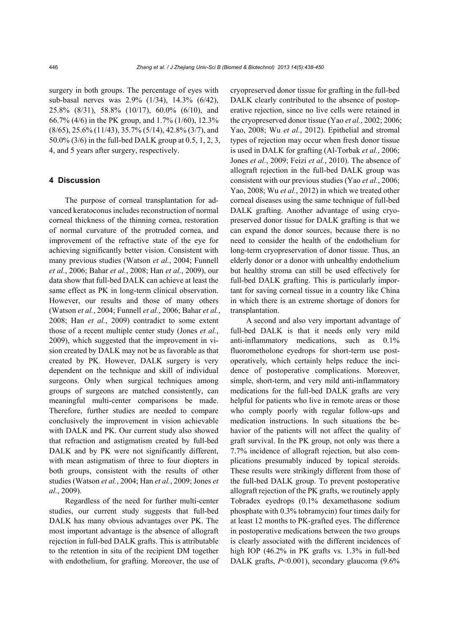surgery in both groups. The percentage of eyes with sub-basal nerves was 2.9% (1/34), 14.3% (6/42), 25.8% (8/31), 58.8% (10/17), 60.0% (6/10), and 66.7% (4/6) in the PK group, and 1.7% (1/60), 12.3% (8/65), 25.6% (11/43), 35.7% (5/14), 42.8% (3/7), and 50.0% (3/6) in the full-bed DALK group at 0.5, 1, 2, 3, 4, and 5 years after surgery, respectively.

# **4 Discussion**

The purpose of corneal transplantation for advanced keratoconus includes reconstruction of normal corneal thickness of the thinning cornea, restoration of normal curvature of the protruded cornea, and improvement of the refractive state of the eye for achieving significantly better vision. Consistent with many previous studies (Watson *et al.*, 2004; Funnell *et al.*, 2006; Bahar *et al.*, 2008; Han *et al.*, 2009), our data show that full-bed DALK can achieve at least the same effect as PK in long-term clinical observation. However, our results and those of many others (Watson *et al.*, 2004; Funnell *et al.*, 2006; Bahar *et al.*, 2008; Han *et al.*, 2009) contradict to some extent those of a recent multiple center study (Jones *et al.*, 2009), which suggested that the improvement in vision created by DALK may not be as favorable as that created by PK. However, DALK surgery is very dependent on the technique and skill of individual surgeons. Only when surgical techniques among groups of surgeons are matched consistently, can meaningful multi-center comparisons be made. Therefore, further studies are needed to compare conclusively the improvement in vision achievable with DALK and PK. Our current study also showed that refraction and astigmatism created by full-bed DALK and by PK were not significantly different, with mean astigmatism of three to four diopters in both groups, consistent with the results of other studies (Watson *et al.*, 2004; Han *et al.*, 2009; Jones *et al.*, 2009).

Regardless of the need for further multi-center studies, our current study suggests that full-bed DALK has many obvious advantages over PK. The most important advantage is the absence of allograft rejection in full-bed DALK grafts. This is attributable to the retention in situ of the recipient DM together with endothelium, for grafting. Moreover, the use of cryopreserved donor tissue for grafting in the full-bed DALK clearly contributed to the absence of postoperative rejection, since no live cells were retained in the cryopreserved donor tissue (Yao *et al.*, 2002; 2006; Yao, 2008; Wu *et al.*, 2012). Epithelial and stromal types of rejection may occur when fresh donor tissue is used in DALK for grafting (Al-Torbak *et al.*, 2006; Jones *et al.*, 2009; Feizi *et al.*, 2010). The absence of allograft rejection in the full-bed DALK group was consistent with our previous studies (Yao *et al.*, 2006; Yao, 2008; Wu *et al.*, 2012) in which we treated other corneal diseases using the same technique of full-bed DALK grafting. Another advantage of using cryopreserved donor tissue for DALK grafting is that we can expand the donor sources, because there is no need to consider the health of the endothelium for long-term cryopreservation of donor tissue. Thus, an elderly donor or a donor with unhealthy endothelium but healthy stroma can still be used effectively for full-bed DALK grafting. This is particularly important for saving corneal tissue in a country like China in which there is an extreme shortage of donors for transplantation.

A second and also very important advantage of full-bed DALK is that it needs only very mild anti-inflammatory medications, such as 0.1% fluorometholone eyedrops for short-term use postoperatively, which certainly helps reduce the incidence of postoperative complications. Moreover, simple, short-term, and very mild anti-inflammatory medications for the full-bed DALK grafts are very helpful for patients who live in remote areas or those who comply poorly with regular follow-ups and medication instructions. In such situations the behavior of the patients will not affect the quality of graft survival. In the PK group, not only was there a 7.7% incidence of allograft rejection, but also complications presumably induced by topical steroids. These results were strikingly different from those of the full-bed DALK group. To prevent postoperative allograft rejection of the PK grafts, we routinely apply Tobradex eyedrops (0.1% dexamethasone sodium phosphate with 0.3% tobramycin) four times daily for at least 12 months to PK-grafted eyes. The difference in postoperative medications between the two groups is clearly associated with the different incidences of high IOP (46.2% in PK grafts vs. 1.3% in full-bed DALK grafts, *P*<0.001), secondary glaucoma (9.6%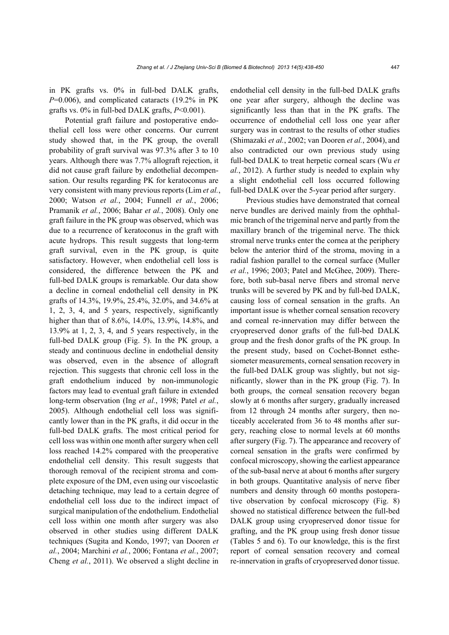in PK grafts vs. 0% in full-bed DALK grafts, *P*=0.006), and complicated cataracts (19.2% in PK grafts vs. 0% in full-bed DALK grafts, *P*<0.001).

Potential graft failure and postoperative endothelial cell loss were other concerns. Our current study showed that, in the PK group, the overall probability of graft survival was 97.3% after 3 to 10 years. Although there was 7.7% allograft rejection, it did not cause graft failure by endothelial decompensation. Our results regarding PK for keratoconus are very consistent with many previous reports (Lim *et al.*, 2000; Watson *et al.*, 2004; Funnell *et al.*, 2006; Pramanik *et al.*, 2006; Bahar *et al.*, 2008). Only one graft failure in the PK group was observed, which was due to a recurrence of keratoconus in the graft with acute hydrops. This result suggests that long-term graft survival, even in the PK group, is quite satisfactory. However, when endothelial cell loss is considered, the difference between the PK and full-bed DALK groups is remarkable. Our data show a decline in corneal endothelial cell density in PK grafts of 14.3%, 19.9%, 25.4%, 32.0%, and 34.6% at 1, 2, 3, 4, and 5 years, respectively, significantly higher than that of 8.6%, 14.0%, 13.9%, 14.8%, and 13.9% at 1, 2, 3, 4, and 5 years respectively, in the full-bed DALK group (Fig. 5). In the PK group, a steady and continuous decline in endothelial density was observed, even in the absence of allograft rejection. This suggests that chronic cell loss in the graft endothelium induced by non-immunologic factors may lead to eventual graft failure in extended long-term observation (Ing *et al.*, 1998; Patel *et al.*, 2005). Although endothelial cell loss was significantly lower than in the PK grafts, it did occur in the full-bed DALK grafts. The most critical period for cell loss was within one month after surgery when cell loss reached 14.2% compared with the preoperative endothelial cell density. This result suggests that thorough removal of the recipient stroma and complete exposure of the DM, even using our viscoelastic detaching technique, may lead to a certain degree of endothelial cell loss due to the indirect impact of surgical manipulation of the endothelium. Endothelial cell loss within one month after surgery was also observed in other studies using different DALK techniques (Sugita and Kondo, 1997; van Dooren *et al.*, 2004; Marchini *et al.*, 2006; Fontana *et al.*, 2007; Cheng *et al.*, 2011). We observed a slight decline in

endothelial cell density in the full-bed DALK grafts one year after surgery, although the decline was significantly less than that in the PK grafts. The occurrence of endothelial cell loss one year after surgery was in contrast to the results of other studies (Shimazaki *et al.*, 2002; van Dooren *et al.*, 2004), and also contradicted our own previous study using full-bed DALK to treat herpetic corneal scars (Wu *et al.*, 2012). A further study is needed to explain why a slight endothelial cell loss occurred following full-bed DALK over the 5-year period after surgery.

Previous studies have demonstrated that corneal nerve bundles are derived mainly from the ophthalmic branch of the trigeminal nerve and partly from the maxillary branch of the trigeminal nerve. The thick stromal nerve trunks enter the cornea at the periphery below the anterior third of the stroma, moving in a radial fashion parallel to the corneal surface (Muller *et al.*, 1996; 2003; Patel and McGhee, 2009). Therefore, both sub-basal nerve fibers and stromal nerve trunks will be severed by PK and by full-bed DALK, causing loss of corneal sensation in the grafts. An important issue is whether corneal sensation recovery and corneal re-innervation may differ between the cryopreserved donor grafts of the full-bed DALK group and the fresh donor grafts of the PK group. In the present study, based on Cochet-Bonnet esthesiometer measurements, corneal sensation recovery in the full-bed DALK group was slightly, but not significantly, slower than in the PK group (Fig. 7). In both groups, the corneal sensation recovery began slowly at 6 months after surgery, gradually increased from 12 through 24 months after surgery, then noticeably accelerated from 36 to 48 months after surgery, reaching close to normal levels at 60 months after surgery (Fig. 7). The appearance and recovery of corneal sensation in the grafts were confirmed by confocal microscopy, showing the earliest appearance of the sub-basal nerve at about 6 months after surgery in both groups. Quantitative analysis of nerve fiber numbers and density through 60 months postoperative observation by confocal microscopy (Fig. 8) showed no statistical difference between the full-bed DALK group using cryopreserved donor tissue for grafting, and the PK group using fresh donor tissue (Tables 5 and 6). To our knowledge, this is the first report of corneal sensation recovery and corneal re-innervation in grafts of cryopreserved donor tissue.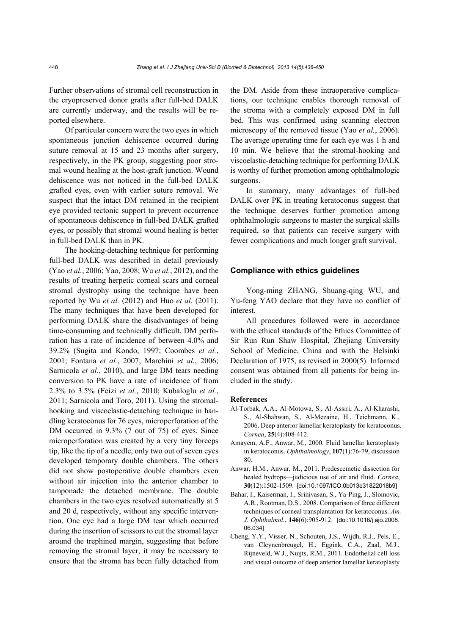Further observations of stromal cell reconstruction in the cryopreserved donor grafts after full-bed DALK are currently underway, and the results will be reported elsewhere.

Of particular concern were the two eyes in which spontaneous junction dehiscence occurred during suture removal at 15 and 23 months after surgery, respectively, in the PK group, suggesting poor stromal wound healing at the host-graft junction. Wound dehiscence was not noticed in the full-bed DALK grafted eyes, even with earlier suture removal. We suspect that the intact DM retained in the recipient eye provided tectonic support to prevent occurrence of spontaneous dehiscence in full-bed DALK grafted eyes, or possibly that stromal wound healing is better in full-bed DALK than in PK.

The hooking-detaching technique for performing full-bed DALK was described in detail previously (Yao *et al.*, 2006; Yao, 2008; Wu *et al.*, 2012), and the results of treating herpetic corneal scars and corneal stromal dystrophy using the technique have been reported by Wu *et al.* (2012) and Huo *et al.* (2011). The many techniques that have been developed for performing DALK share the disadvantages of being time-consuming and technically difficult. DM perforation has a rate of incidence of between 4.0% and 39.2% (Sugita and Kondo, 1997; Coombes *et al.*, 2001; Fontana *et al.*, 2007; Marchini *et al.*, 2006; Sarnicola *et al.*, 2010), and large DM tears needing conversion to PK have a rate of incidence of from 2.3% to 3.5% (Feizi *et al.*, 2010; Kubaloglu *et al.*, 2011; Sarnicola and Toro, 2011). Using the stromalhooking and viscoelastic-detaching technique in handling keratoconus for 76 eyes, microperforation of the DM occurred in 9.3% (7 out of 75) of eyes. Since microperforation was created by a very tiny forceps tip, like the tip of a needle, only two out of seven eyes developed temporary double chambers. The others did not show postoperative double chambers even without air injection into the anterior chamber to tamponade the detached membrane. The double chambers in the two eyes resolved automatically at 5 and 20 d, respectively, without any specific intervention. One eye had a large DM tear which occurred during the insertion of scissors to cut the stromal layer around the trephined margin, suggesting that before removing the stromal layer, it may be necessary to ensure that the stroma has been fully detached from the DM. Aside from these intraoperative complications, our technique enables thorough removal of the stroma with a completely exposed DM in full bed. This was confirmed using scanning electron microscopy of the removed tissue (Yao *et al.*, 2006). The average operating time for each eye was 1 h and 10 min. We believe that the stromal-hooking and viscoelastic-detaching technique for performing DALK is worthy of further promotion among ophthalmologic surgeons.

In summary, many advantages of full-bed DALK over PK in treating keratoconus suggest that the technique deserves further promotion among ophthalmologic surgeons to master the surgical skills required, so that patients can receive surgery with fewer complications and much longer graft survival.

#### **Compliance with ethics guidelines**

Yong-ming ZHANG, Shuang-qing WU, and Yu-feng YAO declare that they have no conflict of interest.

All procedures followed were in accordance with the ethical standards of the Ethics Committee of Sir Run Run Shaw Hospital, Zhejiang University School of Medicine, China and with the Helsinki Declaration of 1975, as revised in 2000(5). Informed consent was obtained from all patients for being included in the study.

#### **References**

- Al-Torbak, A.A., Al-Motowa, S., Al-Assiri, A., Al-Kharashi, S., Al-Shahwan, S., Al-Mezaine, H., Teichmann, K., 2006. Deep anterior lamellar keratoplasty for keratoconus. *Cornea*, **25**(4):408-412.
- Amayem, A.F., Anwar, M., 2000. Fluid lamellar keratoplasty in keratoconus. *Ophthalmology*, **107**(1):76-79, discussion 80.
- Anwar, H.M., Anwar, M., 2011. Predescemetic dissection for healed hydrops—judicious use of air and fluid. *Cornea*, **30**(12):1502-1509. [doi:10.1097/ICO.0b013e31822018b9]
- Bahar, I., Kaiserman, I., Srinivasan, S., Ya-Ping, J., Slomovic, A.R., Rootman, D.S., 2008. Comparison of three different techniques of corneal transplantation for keratoconus. *Am. J. Ophthalmol.*, **146**(6):905-912. [doi:10.1016/j.ajo.2008. 06.034]
- Cheng, Y.Y., Visser, N., Schouten, J.S., Wijdh, R.J., Pels, E., van Cleynenbreugel, H., Eggink, C.A., Zaal, M.J., Rijneveld, W.J., Nuijts, R.M., 2011. Endothelial cell loss and visual outcome of deep anterior lamellar keratoplasty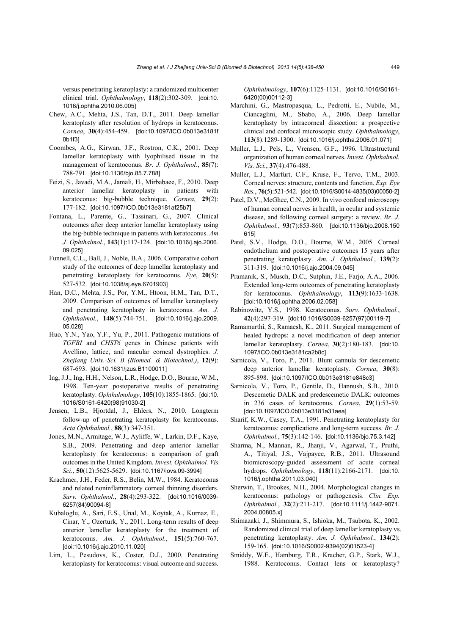versus penetrating keratoplasty: a randomized multicenter clinical trial. *Ophthalmology*, **118**(2):302-309. [doi:10. 1016/j.ophtha.2010.06.005]

- Chew, A.C., Mehta, J.S., Tan, D.T., 2011. Deep lamellar keratoplasty after resolution of hydrops in keratoconus. *Cornea*, **30**(4):454-459. [doi:10.1097/ICO.0b013e3181f 0b1f3]
- Coombes, A.G., Kirwan, J.F., Rostron, C.K., 2001. Deep lamellar keratoplasty with lyophilised tissue in the management of keratoconus. *Br. J. Ophthalmol.*, **85**(7): 788-791. [doi:10.1136/bjo.85.7.788]
- Feizi, S., Javadi, M.A., Jamali, H., Mirbabaee, F., 2010. Deep anterior lamellar keratoplasty in patients with keratoconus: big-bubble technique. *Cornea*, **29**(2): 177-182. [doi:10.1097/ICO.0b013e3181af25b7]
- Fontana, L., Parente, G., Tassinari, G., 2007. Clinical outcomes after deep anterior lamellar keratoplasty using the big-bubble technique in patients with keratoconus. *Am. J. Ophthalmol.*, **143**(1):117-124. [doi:10.1016/j.ajo.2006. 09.025]
- Funnell, C.L., Ball, J., Noble, B.A., 2006. Comparative cohort study of the outcomes of deep lamellar keratoplasty and penetrating keratoplasty for keratoconus. *Eye*, **20**(5): 527-532. [doi:10.1038/sj.eye.6701903]
- Han, D.C., Mehta, J.S., Por, Y.M., Htoon, H.M., Tan, D.T., 2009. Comparison of outcomes of lamellar keratoplasty and penetrating keratoplasty in keratoconus. *Am. J. Ophthalmol.*, **148**(5):744-751. [doi:10.1016/j.ajo.2009. 05.028]
- Huo, Y.N., Yao, Y.F., Yu, P., 2011. Pathogenic mutations of *TGFBI* and *CHST6* genes in Chinese patients with Avellino, lattice, and macular corneal dystrophies. *J. Zhejiang Univ.-Sci. B (Biomed. & Biotechnol.)*, **12**(9): 687-693. [doi:10.1631/jzus.B1100011]
- Ing, J.J., Ing, H.H., Nelson, L.R., Hodge, D.O., Bourne, W.M., 1998. Ten-year postoperative results of penetrating keratoplasty. *Ophthalmology*, **105**(10):1855-1865. [doi:10. 1016/S0161-6420(98)91030-2]
- Jensen, L.B., Hjortdal, J., Ehlers, N., 2010. Longterm follow-up of penetrating keratoplasty for keratoconus. *Acta Ophthalmol.*, **88**(3):347-351.
- Jones, M.N., Armitage, W.J., Ayliffe, W., Larkin, D.F., Kaye, S.B., 2009. Penetrating and deep anterior lamellar keratoplasty for keratoconus: a comparison of graft outcomes in the United Kingdom. *Invest. Ophthalmol. Vis. Sci.*, **50**(12):5625-5629. [doi:10.1167/iovs.09-3994]
- Krachmer, J.H., Feder, R.S., Belin, M.W., 1984. Keratoconus and related noninflammatory corneal thinning disorders. *Surv. Ophthalmol.*, **28**(4):293-322. [doi:10.1016/0039- 6257(84)90094-8]
- Kubaloglu, A., Sari, E.S., Unal, M., Koytak, A., Kurnaz, E., Cinar, Y., Ozerturk, Y., 2011. Long-term results of deep anterior lamellar keratoplasty for the treatment of keratoconus. *Am. J. Ophthalmol.*, **151**(5):760-767. [doi:10.1016/j.ajo.2010.11.020]
- Lim, L., Pesudovs, K., Coster, D.J., 2000. Penetrating keratoplasty for keratoconus: visual outcome and success.

*Ophthalmology*, **107**(6):1125-1131. [doi:10.1016/S0161- 6420(00)00112-3]

- Marchini, G., Mastropasqua, L., Pedrotti, E., Nubile, M., Ciancaglini, M., Sbabo, A., 2006. Deep lamellar keratoplasty by intracorneal dissection: a prospective clinical and confocal microscopic study. *Ophthalmology*, **113**(8):1289-1300. [doi:10.1016/j.ophtha.2006.01.071]
- Muller, L.J., Pels, L., Vrensen, G.F., 1996. Ultrastructural organization of human corneal nerves. *Invest. Ophthalmol. Vis. Sci.*, **37**(4):476-488.
- Muller, L.J., Marfurt, C.F., Kruse, F., Tervo, T.M., 2003. Corneal nerves: structure, contents and function. *Exp. Eye Res.*, **76**(5):521-542. [doi:10.1016/S0014-4835(03)00050-2]
- Patel, D.V., McGhee, C.N., 2009. In vivo confocal microscopy of human corneal nerves in health, in ocular and systemic disease, and following corneal surgery: a review. *Br. J. Ophthalmol.*, **93**(7):853-860. [doi:10.1136/bjo.2008.150 615]
- Patel, S.V., Hodge, D.O., Bourne, W.M., 2005. Corneal endothelium and postoperative outcomes 15 years after penetrating keratoplasty. *Am. J. Ophthalmol.*, **139**(2): 311-319. [doi:10.1016/j.ajo.2004.09.045]
- Pramanik, S., Musch, D.C., Sutphin, J.E., Farjo, A.A., 2006. Extended long-term outcomes of penetrating keratoplasty for keratoconus. *Ophthalmology*, **113**(9):1633-1638. [doi:10.1016/j.ophtha.2006.02.058]
- Rabinowitz, Y.S., 1998. Keratoconus. *Surv. Ophthalmol.*, **42**(4):297-319. [doi:10.1016/S0039-6257(97)00119-7]
- Ramamurthi, S., Ramaesh, K., 2011. Surgical management of healed hydrops: a novel modification of deep anterior lamellar keratoplasty. *Cornea*, **30**(2):180-183. [doi:10. 1097/ICO.0b013e3181ca2b8c]
- Sarnicola, V., Toro, P., 2011. Blunt cannula for descemetic deep anterior lamellar keratoplasty. *Cornea*, **30**(8): 895-898. [doi:10.1097/ICO.0b013e3181e848c3]
- Sarnicola, V., Toro, P., Gentile, D., Hannush, S.B., 2010. Descemetic DALK and predescemetic DALK: outcomes in 236 cases of keratoconus. *Cornea*, **29**(1):53-59. [doi:10.1097/ICO.0b013e3181a31aea]
- Sharif, K.W., Casey, T.A., 1991. Penetrating keratoplasty for keratoconus: complications and long-term success. *Br. J. Ophthalmol.*, **75**(3):142-146. [doi:10.1136/bjo.75.3.142]
- Sharma, N., Mannan, R., Jhanji, V., Agarwal, T., Pruthi, A., Titiyal, J.S., Vajpayee, R.B., 2011. Ultrasound biomicroscopy-guided assessment of acute corneal hydrops. *Ophthalmology*, **118**(11):2166-2171. [doi:10. 1016/j.ophtha.2011.03.040]
- Sherwin, T., Brookes, N.H., 2004. Morphological changes in keratoconus: pathology or pathogenesis. *Clin. Exp. Ophthalmol.*, **32**(2):211-217. [doi:10.1111/j.1442-9071. 2004.00805.x]
- Shimazaki, J., Shimmura, S., Ishioka, M., Tsubota, K., 2002. Randomized clinical trial of deep lamellar keratoplasty vs. penetrating keratoplasty. *Am. J. Ophthalmol.*, **134**(2): 159-165. [doi:10.1016/S0002-9394(02)01523-4]
- Smiddy, W.E., Hamburg, T.R., Kracher, G.P., Stark, W.J., 1988. Keratoconus. Contact lens or keratoplasty?